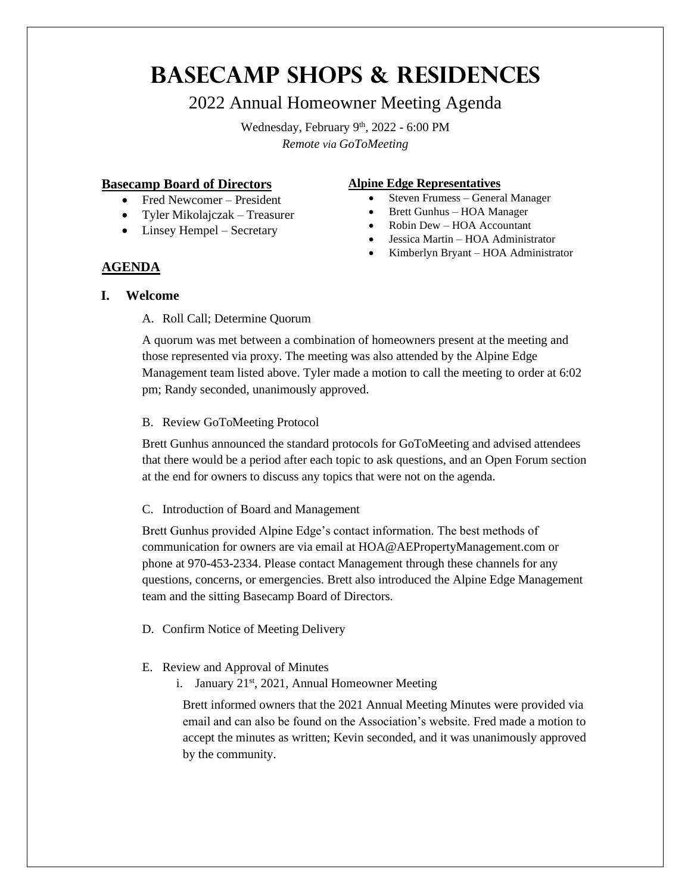# **Basecamp Shops & Residences**

## 2022 Annual Homeowner Meeting Agenda

Wednesday, February 9<sup>th</sup>, 2022 - 6:00 PM *Remote via GoToMeeting*

## **Basecamp Board of Directors**

- Fred Newcomer President
- Tyler Mikolajczak Treasurer
- Linsey Hempel Secretary

## **Alpine Edge Representatives**

- Steven Frumess General Manager
- Brett Gunhus HOA Manager
- Robin Dew HOA Accountant
- Jessica Martin HOA Administrator
- Kimberlyn Bryant HOA Administrator

## **AGENDA**

## **I. Welcome**

## A. Roll Call; Determine Quorum

A quorum was met between a combination of homeowners present at the meeting and those represented via proxy. The meeting was also attended by the Alpine Edge Management team listed above. Tyler made a motion to call the meeting to order at 6:02 pm; Randy seconded, unanimously approved.

## B. Review GoToMeeting Protocol

Brett Gunhus announced the standard protocols for GoToMeeting and advised attendees that there would be a period after each topic to ask questions, and an Open Forum section at the end for owners to discuss any topics that were not on the agenda.

## C. Introduction of Board and Management

Brett Gunhus provided Alpine Edge's contact information. The best methods of communication for owners are via email at HOA@AEPropertyManagement.com or phone at 970-453-2334. Please contact Management through these channels for any questions, concerns, or emergencies. Brett also introduced the Alpine Edge Management team and the sitting Basecamp Board of Directors.

D. Confirm Notice of Meeting Delivery

## E. Review and Approval of Minutes

i. January 21<sup>st</sup>, 2021, Annual Homeowner Meeting

Brett informed owners that the 2021 Annual Meeting Minutes were provided via email and can also be found on the Association's website. Fred made a motion to accept the minutes as written; Kevin seconded, and it was unanimously approved by the community.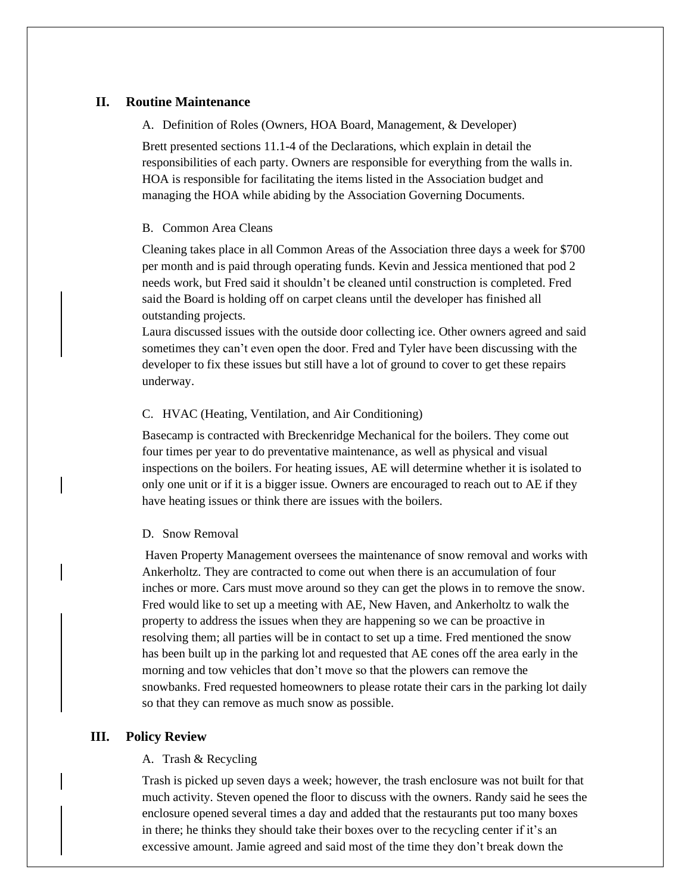## **II. Routine Maintenance**

A. Definition of Roles (Owners, HOA Board, Management, & Developer)

Brett presented sections 11.1-4 of the Declarations, which explain in detail the responsibilities of each party. Owners are responsible for everything from the walls in. HOA is responsible for facilitating the items listed in the Association budget and managing the HOA while abiding by the Association Governing Documents.

#### B. Common Area Cleans

Cleaning takes place in all Common Areas of the Association three days a week for \$700 per month and is paid through operating funds. Kevin and Jessica mentioned that pod 2 needs work, but Fred said it shouldn't be cleaned until construction is completed. Fred said the Board is holding off on carpet cleans until the developer has finished all outstanding projects.

Laura discussed issues with the outside door collecting ice. Other owners agreed and said sometimes they can't even open the door. Fred and Tyler have been discussing with the developer to fix these issues but still have a lot of ground to cover to get these repairs underway.

#### C. HVAC (Heating, Ventilation, and Air Conditioning)

Basecamp is contracted with Breckenridge Mechanical for the boilers. They come out four times per year to do preventative maintenance, as well as physical and visual inspections on the boilers. For heating issues, AE will determine whether it is isolated to only one unit or if it is a bigger issue. Owners are encouraged to reach out to AE if they have heating issues or think there are issues with the boilers.

#### D. Snow Removal

Haven Property Management oversees the maintenance of snow removal and works with Ankerholtz. They are contracted to come out when there is an accumulation of four inches or more. Cars must move around so they can get the plows in to remove the snow. Fred would like to set up a meeting with AE, New Haven, and Ankerholtz to walk the property to address the issues when they are happening so we can be proactive in resolving them; all parties will be in contact to set up a time. Fred mentioned the snow has been built up in the parking lot and requested that AE cones off the area early in the morning and tow vehicles that don't move so that the plowers can remove the snowbanks. Fred requested homeowners to please rotate their cars in the parking lot daily so that they can remove as much snow as possible.

#### **III. Policy Review**

#### A. Trash & Recycling

Trash is picked up seven days a week; however, the trash enclosure was not built for that much activity. Steven opened the floor to discuss with the owners. Randy said he sees the enclosure opened several times a day and added that the restaurants put too many boxes in there; he thinks they should take their boxes over to the recycling center if it's an excessive amount. Jamie agreed and said most of the time they don't break down the